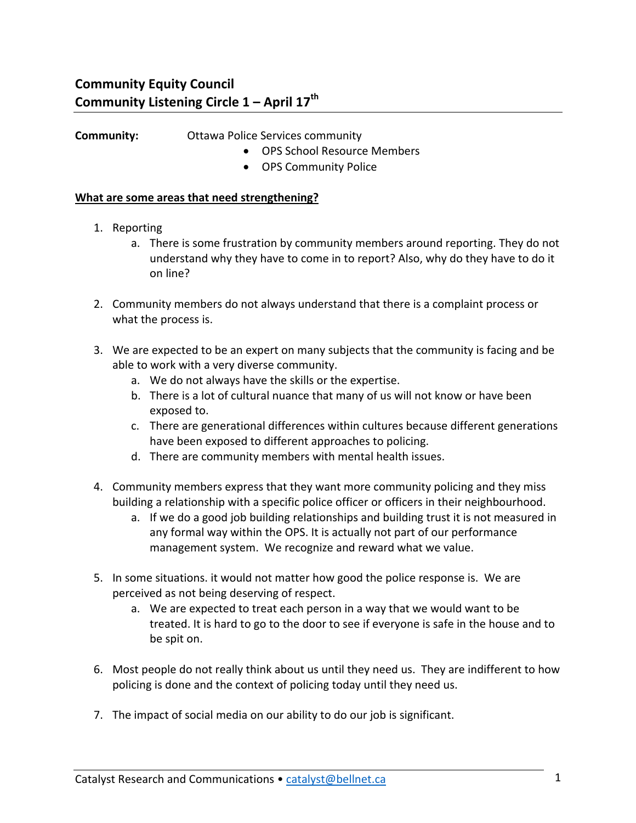## **Community: Community:** Ottawa Police Services community

- OPS School Resource Members
- OPS Community Police

## **What are some areas that need strengthening?**

- 1. Reporting
	- a. There is some frustration by community members around reporting. They do not understand why they have to come in to report? Also, why do they have to do it on line?
- 2. Community members do not always understand that there is a complaint process or what the process is.
- 3. We are expected to be an expert on many subjects that the community is facing and be able to work with a very diverse community.
	- a. We do not always have the skills or the expertise.
	- b. There is a lot of cultural nuance that many of us will not know or have been exposed to.
	- c. There are generational differences within cultures because different generations have been exposed to different approaches to policing.
	- d. There are community members with mental health issues.
- 4. Community members express that they want more community policing and they miss building a relationship with a specific police officer or officers in their neighbourhood.
	- a. If we do a good job building relationships and building trust it is not measured in any formal way within the OPS. It is actually not part of our performance management system. We recognize and reward what we value.
- 5. In some situations. it would not matter how good the police response is. We are perceived as not being deserving of respect.
	- a. We are expected to treat each person in a way that we would want to be treated. It is hard to go to the door to see if everyone is safe in the house and to be spit on.
- 6. Most people do not really think about us until they need us. They are indifferent to how policing is done and the context of policing today until they need us.
- 7. The impact of social media on our ability to do our job is significant.